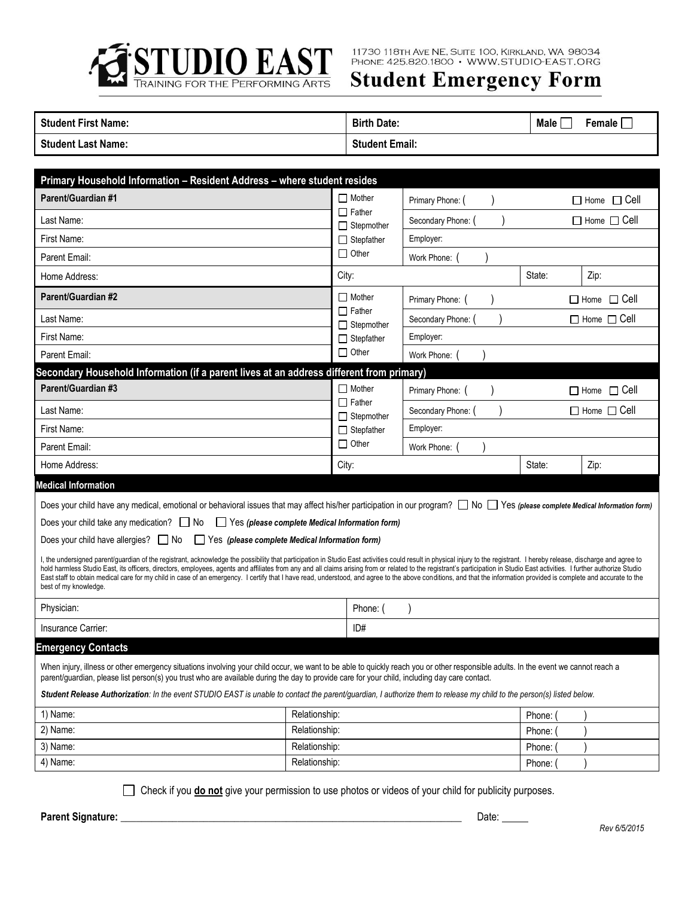

11730 118TH AVE NE, SUITE 100, KIRKLAND, WA 98034<br>PHONE: 425.820.1800 • WWW.STUDIO-EAST.ORG

# **Student Emergency Form**

| <b>Student First Name:</b> | <b>Birth Date:</b>    | <b>Male</b><br>⊦emale |
|----------------------------|-----------------------|-----------------------|
| <b>Student Last Name:</b>  | <b>Student Email:</b> |                       |

| Primary Household Information - Resident Address - where student resides                                                                                                                                                                                                                                                                                                                                                                                                                                                                                                                                                                                                                                    |               |                                                                                          |                  |        |                         |
|-------------------------------------------------------------------------------------------------------------------------------------------------------------------------------------------------------------------------------------------------------------------------------------------------------------------------------------------------------------------------------------------------------------------------------------------------------------------------------------------------------------------------------------------------------------------------------------------------------------------------------------------------------------------------------------------------------------|---------------|------------------------------------------------------------------------------------------|------------------|--------|-------------------------|
| <b>Parent/Guardian #1</b>                                                                                                                                                                                                                                                                                                                                                                                                                                                                                                                                                                                                                                                                                   |               | $\Box$ Mother<br>$\Box$ Father<br>$\Box$ Stepmother<br>$\Box$ Stepfather<br>$\Box$ Other | Primary Phone: ( |        | $\Box$ Home $\Box$ Cell |
| Last Name:                                                                                                                                                                                                                                                                                                                                                                                                                                                                                                                                                                                                                                                                                                  |               |                                                                                          | Secondary Phone: |        | $\Box$ Home $\Box$ Cell |
| First Name:                                                                                                                                                                                                                                                                                                                                                                                                                                                                                                                                                                                                                                                                                                 |               |                                                                                          | Employer:        |        |                         |
| Parent Email:                                                                                                                                                                                                                                                                                                                                                                                                                                                                                                                                                                                                                                                                                               |               |                                                                                          | Work Phone:      |        |                         |
| Home Address:                                                                                                                                                                                                                                                                                                                                                                                                                                                                                                                                                                                                                                                                                               | City:         |                                                                                          |                  | State: | Zip:                    |
| Parent/Guardian #2                                                                                                                                                                                                                                                                                                                                                                                                                                                                                                                                                                                                                                                                                          |               | $\Box$ Mother                                                                            | Primary Phone:   |        | $\Box$ Home $\Box$ Cell |
| Last Name:                                                                                                                                                                                                                                                                                                                                                                                                                                                                                                                                                                                                                                                                                                  |               | $\Box$ Father<br>$\Box$ Stepmother                                                       | Secondary Phone: |        | $\Box$ Home $\Box$ Cell |
| First Name:                                                                                                                                                                                                                                                                                                                                                                                                                                                                                                                                                                                                                                                                                                 |               | $\Box$ Stepfather                                                                        | Employer:        |        |                         |
| Parent Email:                                                                                                                                                                                                                                                                                                                                                                                                                                                                                                                                                                                                                                                                                               |               | $\Box$ Other                                                                             | Work Phone:      |        |                         |
| Secondary Household Information (if a parent lives at an address different from primary)                                                                                                                                                                                                                                                                                                                                                                                                                                                                                                                                                                                                                    |               |                                                                                          |                  |        |                         |
| Parent/Guardian #3                                                                                                                                                                                                                                                                                                                                                                                                                                                                                                                                                                                                                                                                                          |               | $\Box$ Mother                                                                            | Primary Phone: ( |        | $\Box$ Home $\Box$ Cell |
| Last Name:                                                                                                                                                                                                                                                                                                                                                                                                                                                                                                                                                                                                                                                                                                  |               | $\Box$ Father<br>$\Box$ Stepmother                                                       | Secondary Phone: |        | $\Box$ Home $\Box$ Cell |
| First Name:                                                                                                                                                                                                                                                                                                                                                                                                                                                                                                                                                                                                                                                                                                 |               | $\Box$ Stepfather                                                                        | Employer:        |        |                         |
| Parent Email:                                                                                                                                                                                                                                                                                                                                                                                                                                                                                                                                                                                                                                                                                               |               | $\Box$ Other                                                                             | Work Phone:      |        |                         |
| Home Address:                                                                                                                                                                                                                                                                                                                                                                                                                                                                                                                                                                                                                                                                                               | City:         |                                                                                          |                  | State: | Zip:                    |
| <b>Medical Information</b>                                                                                                                                                                                                                                                                                                                                                                                                                                                                                                                                                                                                                                                                                  |               |                                                                                          |                  |        |                         |
| Does your child have any medical, emotional or behavioral issues that may affect his/her participation in our program? No S Yes (please complete Medical Information form)                                                                                                                                                                                                                                                                                                                                                                                                                                                                                                                                  |               |                                                                                          |                  |        |                         |
| Does your child take any medication? No<br>Yes (please complete Medical Information form)                                                                                                                                                                                                                                                                                                                                                                                                                                                                                                                                                                                                                   |               |                                                                                          |                  |        |                         |
| Does your child have allergies? $\Box$ No<br>$\Box$ Yes (please complete Medical Information form)                                                                                                                                                                                                                                                                                                                                                                                                                                                                                                                                                                                                          |               |                                                                                          |                  |        |                         |
| I, the undersigned parent/guardian of the registrant, acknowledge the possibility that participation in Studio East activities could result in physical injury to the registrant. I hereby release, discharge and agree to<br>hold harmless Studio East, its officers, directors, employees, agents and affiliates from any and all claims arising from or related to the registrant's participation in Studio East activities. I further authorize Studio<br>East staff to obtain medical care for my child in case of an emergency. I certify that I have read, understood, and agree to the above conditions, and that the information provided is complete and accurate to the<br>best of my knowledge. |               |                                                                                          |                  |        |                         |
| Physician:                                                                                                                                                                                                                                                                                                                                                                                                                                                                                                                                                                                                                                                                                                  |               | Phone: (                                                                                 |                  |        |                         |
| Insurance Carrier:                                                                                                                                                                                                                                                                                                                                                                                                                                                                                                                                                                                                                                                                                          |               | ID#                                                                                      |                  |        |                         |
| <b>Emergency Contacts</b>                                                                                                                                                                                                                                                                                                                                                                                                                                                                                                                                                                                                                                                                                   |               |                                                                                          |                  |        |                         |
| When injury, illness or other emergency situations involving your child occur, we want to be able to quickly reach you or other responsible adults. In the event we cannot reach a<br>parent/guardian, please list person(s) you trust who are available during the day to provide care for your child, including day care contact.                                                                                                                                                                                                                                                                                                                                                                         |               |                                                                                          |                  |        |                         |
| Student Release Authorization: In the event STUDIO EAST is unable to contact the parent/guardian, I authorize them to release my child to the person(s) listed below.                                                                                                                                                                                                                                                                                                                                                                                                                                                                                                                                       |               |                                                                                          |                  |        |                         |
| Relationship:<br>1) Name:                                                                                                                                                                                                                                                                                                                                                                                                                                                                                                                                                                                                                                                                                   |               |                                                                                          |                  | Phone: |                         |
| 2) Name:                                                                                                                                                                                                                                                                                                                                                                                                                                                                                                                                                                                                                                                                                                    | Relationship: |                                                                                          |                  | Phone: |                         |
| 3) Name:                                                                                                                                                                                                                                                                                                                                                                                                                                                                                                                                                                                                                                                                                                    | Relationship: |                                                                                          |                  | Phone: |                         |
| 4) Name:                                                                                                                                                                                                                                                                                                                                                                                                                                                                                                                                                                                                                                                                                                    | Relationship: |                                                                                          |                  | Phone: |                         |

Check if you **do not** give your permission to use photos or videos of your child for publicity purposes.

**Parent Signature:** \_\_\_\_\_\_\_\_\_\_\_\_\_\_\_\_\_\_\_\_\_\_\_\_\_\_\_\_\_\_\_\_\_\_\_\_\_\_\_\_\_\_\_\_\_\_\_\_\_\_\_\_\_\_\_\_\_\_\_\_\_\_\_\_\_\_ Date: